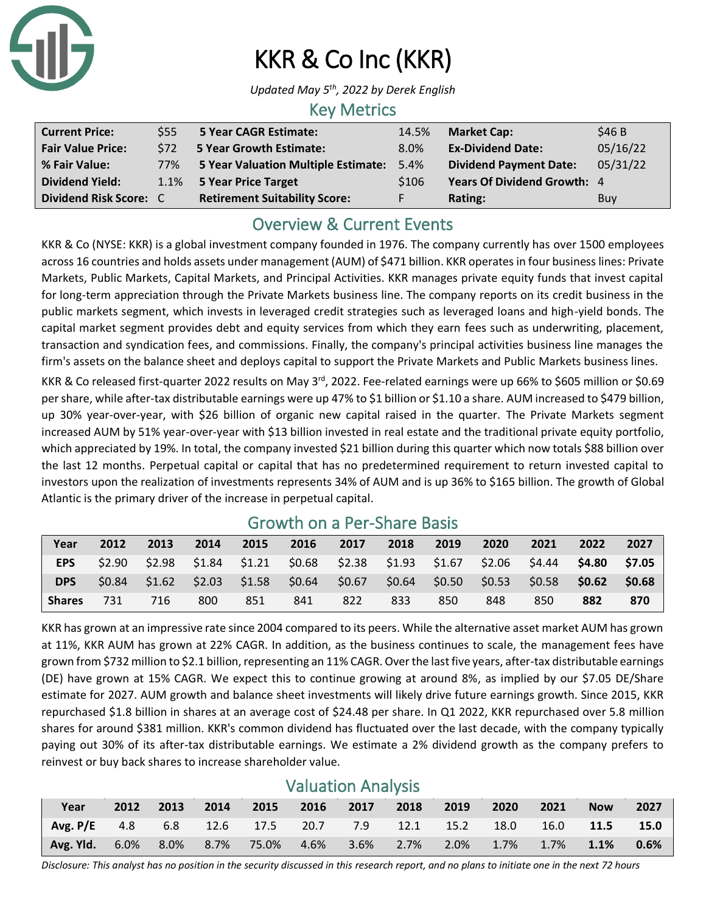

# KKR & Co Inc (KKR)

*Updated May 5 th , 2022 by Derek English*

#### Key Metrics

| <b>Current Price:</b>    | \$55       | 5 Year CAGR Estimate:                | 14.5% | <b>Market Cap:</b>            | \$46 B   |
|--------------------------|------------|--------------------------------------|-------|-------------------------------|----------|
| <b>Fair Value Price:</b> | <b>S72</b> | <b>5 Year Growth Estimate:</b>       | 8.0%  | <b>Ex-Dividend Date:</b>      | 05/16/22 |
| % Fair Value:            | 77%        | 5 Year Valuation Multiple Estimate:  | 5.4%  | <b>Dividend Payment Date:</b> | 05/31/22 |
| <b>Dividend Yield:</b>   |            | 1.1% 5 Year Price Target             | \$106 | Years Of Dividend Growth: 4   |          |
| Dividend Risk Score: C   |            | <b>Retirement Suitability Score:</b> |       | Rating:                       | Buy      |

## Overview & Current Events

KKR & Co (NYSE: KKR) is a global investment company founded in 1976. The company currently has over 1500 employees across 16 countries and holds assets under management (AUM) of \$471 billion. KKR operates in four business lines: Private Markets, Public Markets, Capital Markets, and Principal Activities. KKR manages private equity funds that invest capital for long-term appreciation through the Private Markets business line. The company reports on its credit business in the public markets segment, which invests in leveraged credit strategies such as leveraged loans and high-yield bonds. The capital market segment provides debt and equity services from which they earn fees such as underwriting, placement, transaction and syndication fees, and commissions. Finally, the company's principal activities business line manages the firm's assets on the balance sheet and deploys capital to support the Private Markets and Public Markets business lines.

KKR & Co released first-quarter 2022 results on May 3<sup>rd</sup>, 2022. Fee-related earnings were up 66% to \$605 million or \$0.69 per share, while after-tax distributable earnings were up 47% to \$1 billion or \$1.10 a share. AUM increased to \$479 billion, up 30% year-over-year, with \$26 billion of organic new capital raised in the quarter. The Private Markets segment increased AUM by 51% year-over-year with \$13 billion invested in real estate and the traditional private equity portfolio, which appreciated by 19%. In total, the company invested \$21 billion during this quarter which now totals \$88 billion over the last 12 months. Perpetual capital or capital that has no predetermined requirement to return invested capital to investors upon the realization of investments represents 34% of AUM and is up 36% to \$165 billion. The growth of Global Atlantic is the primary driver of the increase in perpetual capital.

|               | <u>UIUWUI UII A FEI-JIIAIE DASIS</u> |      |      |      |      |                                                                         |      |      |      |      |                         |      |
|---------------|--------------------------------------|------|------|------|------|-------------------------------------------------------------------------|------|------|------|------|-------------------------|------|
| Year          | 2012                                 | 2013 | 2014 | 2015 | 2016 | 2017                                                                    | 2018 | 2019 | 2020 | 2021 | 2022                    | 2027 |
| EPS           | \$2.90                               |      |      |      |      | $$2.98$ $$1.84$ $$1.21$ $$0.68$ $$2.38$ $$1.93$ $$1.67$ $$2.06$ $$4.44$ |      |      |      |      | \$4.80 \$7.05           |      |
| <b>DPS</b>    | \$0.84                               |      |      |      |      | $$1.62$ $$2.03$ $$1.58$ $$0.64$ $$0.67$ $$0.64$ $$0.50$ $$0.53$         |      |      |      |      | $$0.58$ $$0.62$ $$0.68$ |      |
| <b>Shares</b> | 731                                  | 716  | 800  | 851  | 841  | 822                                                                     | 833  | 850  | 848  | 850  | 882                     | 870  |

## Growth on a Per-Share Basis

KKR has grown at an impressive rate since 2004 compared to its peers. While the alternative asset market AUM has grown at 11%, KKR AUM has grown at 22% CAGR. In addition, as the business continues to scale, the management fees have grown from \$732 million to \$2.1 billion, representing an 11% CAGR. Over the last five years, after-tax distributable earnings (DE) have grown at 15% CAGR. We expect this to continue growing at around 8%, as implied by our \$7.05 DE/Share estimate for 2027. AUM growth and balance sheet investments will likely drive future earnings growth. Since 2015, KKR repurchased \$1.8 billion in shares at an average cost of \$24.48 per share. In Q1 2022, KKR repurchased over 5.8 million shares for around \$381 million. KKR's common dividend has fluctuated over the last decade, with the company typically paying out 30% of its after-tax distributable earnings. We estimate a 2% dividend growth as the company prefers to reinvest or buy back shares to increase shareholder value.

### Valuation Analysis

| Year                                                              | 2012 |  | 2013 2014 2015 2016 2017 2018 2019 |  |  | 2020 | 2021 | <b>Now</b> | 2027                |
|-------------------------------------------------------------------|------|--|------------------------------------|--|--|------|------|------------|---------------------|
|                                                                   |      |  |                                    |  |  |      |      |            |                     |
| Avg. Yld. 6.0% 8.0% 8.7% 75.0% 4.6% 3.6% 2.7% 2.0% 1.7% 1.7% 1.1% |      |  |                                    |  |  |      |      |            | $\blacksquare$ 0.6% |

*Disclosure: This analyst has no position in the security discussed in this research report, and no plans to initiate one in the next 72 hours*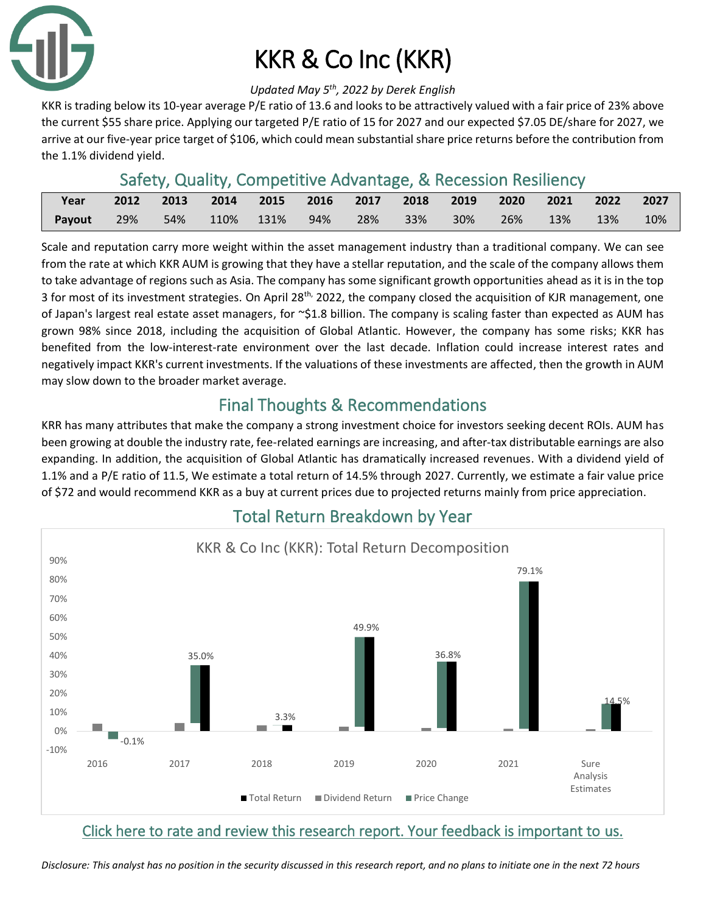

# KKR & Co Inc (KKR)

#### *Updated May 5 th , 2022 by Derek English*

KKR is trading below its 10-year average P/E ratio of 13.6 and looks to be attractively valued with a fair price of 23% above the current \$55 share price. Applying our targeted P/E ratio of 15 for 2027 and our expected \$7.05 DE/share for 2027, we arrive at our five-year price target of \$106, which could mean substantial share price returns before the contribution from the 1.1% dividend yield.

## Safety, Quality, Competitive Advantage, & Recession Resiliency

| Year   |     | 2012 2013 |               |     |     | 2014 2015 2016 2017 2018 2019 2020 2021 2022 |        |     |     |                             | 2027 |
|--------|-----|-----------|---------------|-----|-----|----------------------------------------------|--------|-----|-----|-----------------------------|------|
| Payout | 29% |           | 54% 110% 131% | 94% | 28% | 33%                                          | $30\%$ | 26% | 13% | $\setminus$ 13% $\setminus$ | 10%  |

Scale and reputation carry more weight within the asset management industry than a traditional company. We can see from the rate at which KKR AUM is growing that they have a stellar reputation, and the scale of the company allows them to take advantage of regions such as Asia. The company has some significant growth opportunities ahead as it is in the top 3 for most of its investment strategies. On April 28<sup>th,</sup> 2022, the company closed the acquisition of KJR management, one of Japan's largest real estate asset managers, for  $\sim$ \$1.8 billion. The company is scaling faster than expected as AUM has grown 98% since 2018, including the acquisition of Global Atlantic. However, the company has some risks; KKR has benefited from the low-interest-rate environment over the last decade. Inflation could increase interest rates and negatively impact KKR's current investments. If the valuations of these investments are affected, then the growth in AUM may slow down to the broader market average.

## Final Thoughts & Recommendations

KRR has many attributes that make the company a strong investment choice for investors seeking decent ROIs. AUM has been growing at double the industry rate, fee-related earnings are increasing, and after-tax distributable earnings are also expanding. In addition, the acquisition of Global Atlantic has dramatically increased revenues. With a dividend yield of 1.1% and a P/E ratio of 11.5, We estimate a total return of 14.5% through 2027. Currently, we estimate a fair value price of \$72 and would recommend KKR as a buy at current prices due to projected returns mainly from price appreciation.



## Total Return Breakdown by Year

#### [Click here to rate and review this research report. Your feedback is important to us.](https://suredividend.typeform.com/to/wxbBHTv3)

*Disclosure: This analyst has no position in the security discussed in this research report, and no plans to initiate one in the next 72 hours*